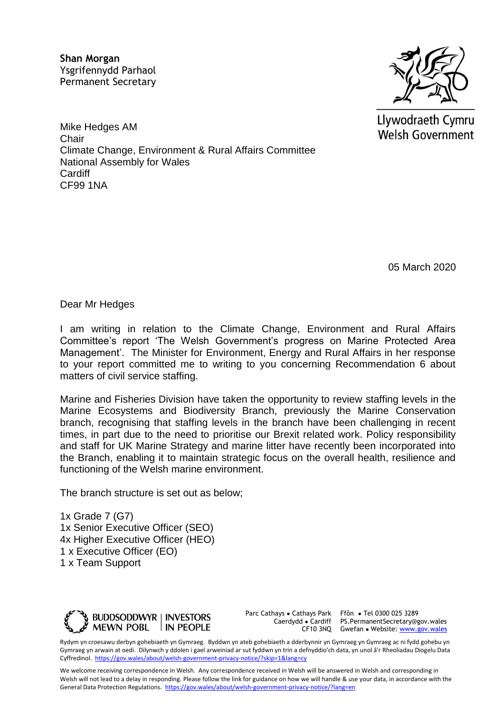**Shan Morgan**  Ysgrifennydd Parhaol Permanent Secretary



Llywodraeth Cymru **Welsh Government** 

Mike Hedges AM **Chair** Climate Change, Environment & Rural Affairs Committee National Assembly for Wales **Cardiff** CF99 1NA

05 March 2020

Dear Mr Hedges

I am writing in relation to the Climate Change, Environment and Rural Affairs Committee's report 'The Welsh Government's progress on Marine Protected Area Management'. The Minister for Environment, Energy and Rural Affairs in her response to your report committed me to writing to you concerning Recommendation 6 about matters of civil service staffing.

Marine and Fisheries Division have taken the opportunity to review staffing levels in the Marine Ecosystems and Biodiversity Branch, previously the Marine Conservation branch, recognising that staffing levels in the branch have been challenging in recent times, in part due to the need to prioritise our Brexit related work. Policy responsibility and staff for UK Marine Strategy and marine litter have recently been incorporated into the Branch, enabling it to maintain strategic focus on the overall health, resilience and functioning of the Welsh marine environment.

The branch structure is set out as below;

1x Grade 7 (G7) 1x Senior Executive Officer (SEO) 4x Higher Executive Officer (HEO) 1 x Executive Officer (EO) 1 x Team Support



Parc Cathays ● Cathays Park

Caerdydd ● Cardiff PS.PermanentSecretary@gov.wales CF10 3NQ Gwefan • Website: [www.gov.wales](http://www.gov.wales/) Ffôn ● Tel 0300 025 3289

Rydym yn croesawu derbyn gohebiaeth yn Gymraeg. Byddwn yn ateb gohebiaeth a dderbynnir yn Gymraeg yn Gymraeg ac ni fydd gohebu yn Gymraeg yn arwain at oedi. Dilynwch y ddolen i gael arweiniad ar sut fyddwn yn trin a defnyddio'ch data, yn unol â'r Rheoliadau Diogelu Data Cyffredinol.<https://gov.wales/about/welsh-government-privacy-notice/?skip=1&lang=cy>

We welcome receiving correspondence in Welsh. Any correspondence received in Welsh will be answered in Welsh and corresponding in Welsh will not lead to a delay in responding. Please follow the link for guidance on how we will handle & use your data, in accordance with the General Data Protection Regulations.<https://gov.wales/about/welsh-government-privacy-notice/?lang=en>